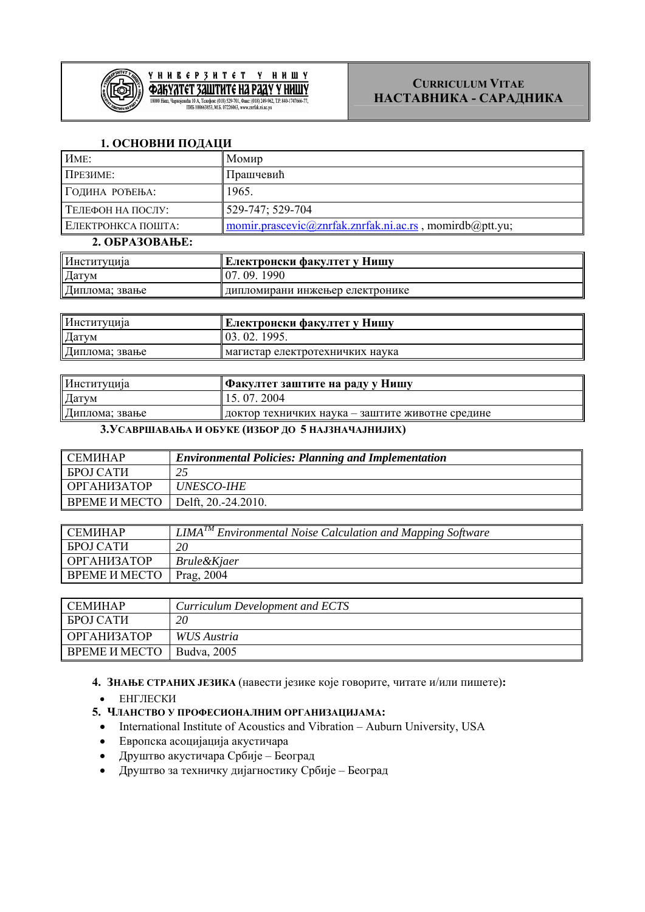

### **1. ОСНОВНИ ПОДАЦИ**

| <b>HME:</b>        | Момир                                                   |
|--------------------|---------------------------------------------------------|
| ПРЕЗИМЕ:           | Прашчевић                                               |
| ГОДИНА РОЂЕЊА:     | 1965.                                                   |
| TEЛЕФОН НА ПОСЛУ:  | 529-747; 529-704                                        |
| ЕЛЕКТРОНКСА ПОШТА: | momir.prascevic@znrfak.znrfak.ni.ac.rs, momirdb@ptt.yu; |
| 2. OБРАЗОВАЊЕ:     |                                                         |

| Институција    | ! Електронски факултет у Нишу   |
|----------------|---------------------------------|
| Датум          | 09.1990                         |
| Диплома; звање | дипломирани инжењер електронике |

| Институција    | Електронски факултет у Нишу     |
|----------------|---------------------------------|
| Датум          | $\sqrt{03}$ . 02. 1995.         |
| Диплома; звање | иагистар електротехничких наука |

| Институција    | Факултет заштите на раду у Нишу                  |
|----------------|--------------------------------------------------|
| Датум          | 15.07.2004                                       |
| Диплома; звање | доктор техничких наука – заштите животне средине |

#### **3.УСАВРШАВАЊА И ОБУКЕ (ИЗБОР ДО 5 НАЈЗНАЧАЈНИЈИХ)**

| <b>CEMMHAP</b>       | <b>Environmental Policies: Planning and Implementation</b> |
|----------------------|------------------------------------------------------------|
| <b>BPOJ CATH</b>     |                                                            |
| ОРГАНИЗАТОР          | <i>UNESCO-IHE</i>                                          |
| <b>BPEME И МЕСТО</b> | Delft, 20.-24.2010.                                        |

| <b>CEMVHAP</b>       | . TM<br>I IMA<br><b>Environmental Noise Calculation and Mapping Software</b> |
|----------------------|------------------------------------------------------------------------------|
| <b>BPOJ CATH</b>     | 20                                                                           |
| ОРГАНИЗАТОР          | <i>Brule&amp;Kjaer</i>                                                       |
| <b>BPEME И МЕСТО</b> | Prag, 2004                                                                   |

| CEMMHAP              | Curriculum Development and ECTS |
|----------------------|---------------------------------|
| ∥ БРОЈ САТИ          | 20                              |
| ∥ ОРГАНИЗАТОР        | <i>WUS Austria</i>              |
| <b>BPEME И МЕСТО</b> | Budva, 2005                     |

### **4. ЗНАЊЕ СТРАНИХ ЈЕЗИКА** (навести језике које говорите, читате и/или пишете)**:**

- EНГЛЕСКИ
- **5. ЧЛАНСТВО У ПРОФЕСИОНАЛНИМ ОРГАНИЗАЦИЈАМА:** 
	- International Institute of Acoustics and Vibration Auburn University, USA
	- Европска асоцијација акустичара
	- Друштво акустичара Србије Београд
	- Друштво за техничку дијагностику Србије Београд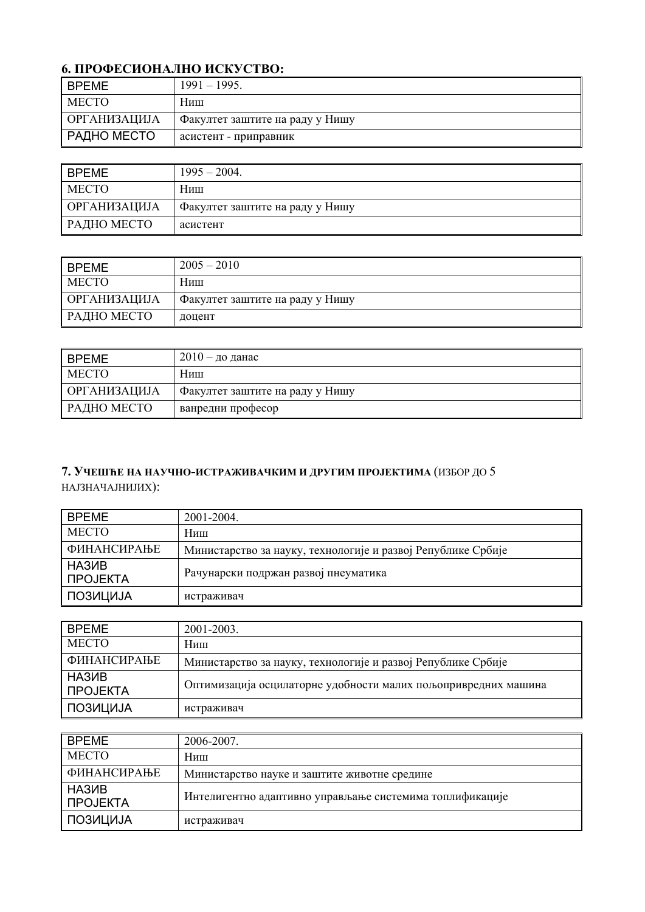# **6. ПРОФЕСИОНАЛНО ИСКУСТВО:**

| I BPEME       | $1991 - 1995$ .                 |
|---------------|---------------------------------|
| <b>MECTO</b>  | Ниш                             |
| ОРГАНИЗАЦИЈА  | Факултет заштите на раду у Нишу |
| ∥ РАДНО МЕСТО | асистент - приправник           |

| <b>BPEME</b>        | $1995 - 2004$ .                 |
|---------------------|---------------------------------|
| <b>MECTO</b>        | Ниш                             |
| <b>ОРГАНИЗАЦИЈА</b> | Факултет заштите на раду у Нишу |
| РАДНО МЕСТО         | асистент                        |

| <b>BPEME</b>        | $2005 - 2010$                   |
|---------------------|---------------------------------|
| <b>MECTO</b>        | Ниш                             |
| <b>ОРГАНИЗАЦИЈА</b> | Факултет заштите на раду у Нишу |
| РАДНО МЕСТО         | доцент                          |

| <b>BPEME</b>        | 2010 – до данас                 |
|---------------------|---------------------------------|
| MECTO               | Ниш                             |
| <b>ОРГАНИЗАЦИЈА</b> | Факултет заштите на раду у Нишу |
| РАДНО МЕСТО         | ванредни професор               |

## **7. УЧЕШЋЕ НА НАУЧНО-ИСТРАЖИВАЧКИМ И ДРУГИМ ПРОЈЕКТИМА** (ИЗБОР ДО 5 НАЈЗНАЧАЈНИЈИХ):

| ∥ BPEME                                | 2001-2004.                                                   |
|----------------------------------------|--------------------------------------------------------------|
| <b>MECTO</b>                           | Ниш                                                          |
| <b>ФИНАНСИРАЊЕ</b>                     | Министарство за науку, технологије и развој Републике Србије |
| HA3 <sub>MB</sub><br><b>I ΠΡΟJEKTA</b> | Рачунарски подржан развој пнеуматика                         |
| ПОЗИЦИЈА                               | истраживач                                                   |

| ∥ BPEME               | 2001-2003.                                                     |
|-----------------------|----------------------------------------------------------------|
| <b>MECTO</b>          | Ниш                                                            |
| <b>ФИНАНСИРАЊЕ</b>    | Министарство за науку, технологије и развој Републике Србије   |
| ∥ HA3ИB<br>∥ ПРОЈЕКТА | Оптимизација осцилаторне удобности малих пољопривредних машина |
| ПОЗИЦИЈА              | истраживач                                                     |

| <b>BPEME</b>        | 2006-2007.                                               |
|---------------------|----------------------------------------------------------|
| <b>MECTO</b>        | Ниш                                                      |
| <b>ФИНАНСИРАЊЕ</b>  | Министарство науке и заштите животне средине             |
| HA3ИB<br>∥ ПРОЈЕКТА | Интелигентно адаптивно управљање системима топлификације |
| ∥ ПОЗИЦИЈА          | истраживач                                               |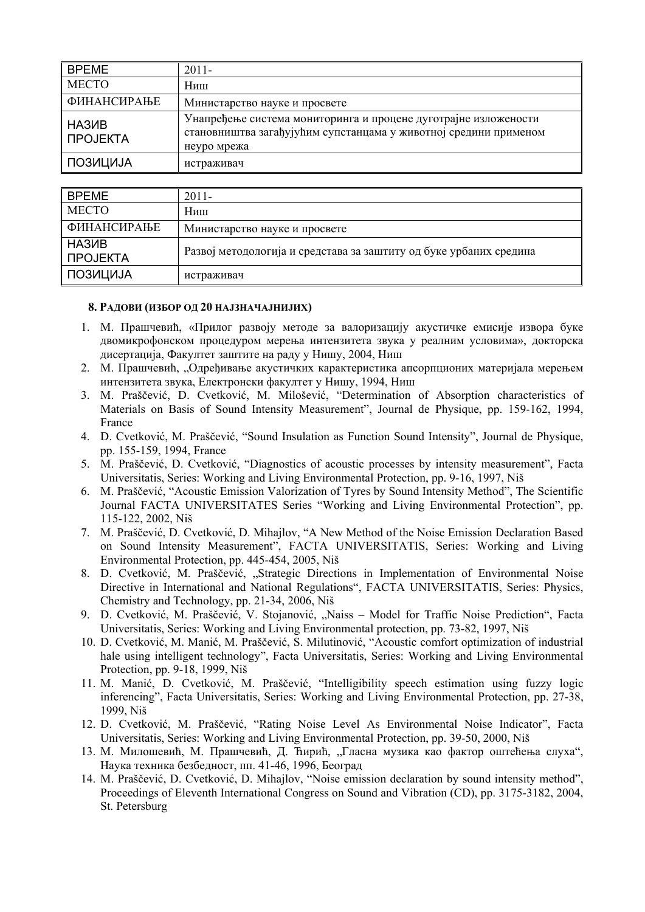| <b>BPEME</b>                    | $2011 -$                                                                                                                                           |
|---------------------------------|----------------------------------------------------------------------------------------------------------------------------------------------------|
| <b>MECTO</b>                    | Ниш                                                                                                                                                |
| <b>ФИНАНСИРАЊЕ</b>              | Министарство науке и просвете                                                                                                                      |
| HA3 <sub>MB</sub><br>∥ ПРОЈЕКТА | Унапређење система мониторинга и процене дуготрајне изложености<br>становништва загађујућим супстанцама у животној средини применом<br>неуро мрежа |
| ПОЗИЦИЈА                        | истраживач                                                                                                                                         |

| <b>BPEME</b>           | $2011 -$                                                           |
|------------------------|--------------------------------------------------------------------|
| <b>MECTO</b>           | Ниш                                                                |
| ФИНАНСИРАЊЕ            | Министарство науке и просвете                                      |
| I НАЗИВ<br>II ∏POJEKTA | Развој методологија и средстава за заштиту од буке урбаних средина |
| ∥ ПОЗИЦИЈА             | истраживач                                                         |

#### **8. РАДОВИ (ИЗБОР ОД 20 НАЈЗНАЧАЈНИЈИХ)**

- 1. М. Прашчевић, «Прилог развоју методе за валоризацију акустичке емисије извора буке двомикрофонском процедуром мерења интензитета звука у реалним условима», докторска дисертација, Факултет заштите на раду у Нишу, 2004, Ниш
- 2. М. Прашчевић, "Одређивање акустичких карактеристика апсорпционих материјала мерењем интензитета звука, Електронски факултет у Нишу, 1994, Ниш
- 3. M. Praščević, D. Cvetković, M. Milošević, "Determination of Absorption characteristics of Materials on Basis of Sound Intensity Measurement", Journal de Physique, pp. 159-162, 1994, France
- 4. D. Cvetković, M. Praščević, "Sound Insulation as Function Sound Intensity", Journal de Physique, pp. 155-159, 1994, France
- 5. M. Praščević, D. Cvetković, "Diagnostics of acoustic processes by intensity measurement", Facta Universitatis, Series: Working and Living Environmental Protection, pp. 9-16, 1997, Niš
- 6. M. Praščević, "Acoustic Emission Valorization of Tyres by Sound Intensity Method", The Scientific Journal FACTA UNIVERSITATES Series "Working and Living Environmental Protection", pp. 115-122, 2002, Niš
- 7. M. Praščević, D. Cvetković, D. Mihajlov, "A New Method of the Noise Emission Declaration Based on Sound Intensity Measurement", FACTA UNIVERSITATIS, Series: Working and Living Environmental Protection, pp. 445-454, 2005, Niš
- 8. D. Cvetković, M. Praščević, "Strategic Directions in Implementation of Environmental Noise Directive in International and National Regulations", FACTA UNIVERSITATIS, Series: Physics, Chemistry and Technology, pp. 21-34, 2006, Niš
- 9. D. Cvetković, M. Praščević, V. Stojanović, "Naiss Model for Traffic Noise Prediction", Facta Universitatis, Series: Working and Living Environmental protection, pp. 73-82, 1997, Niš
- 10. D. Cvetković, M. Manić, M. Praščević, S. Milutinović, "Acoustic comfort optimization of industrial hale using intelligent technology", Facta Universitatis, Series: Working and Living Environmental Protection, pp. 9-18, 1999, Niš
- 11. M. Manić, D. Cvetković, M. Praščević, "Intelligibility speech estimation using fuzzy logic inferencing", Facta Universitatis, Series: Working and Living Environmental Protection, pp. 27-38, 1999, Niš
- 12. D. Cvetković, M. Praščević, "Rating Noise Level As Environmental Noise Indicator", Facta Universitatis, Series: Working and Living Environmental Protection, pp. 39-50, 2000, Niš
- 13. М. Милошевић, М. Прашчевић, Д. Ћирић, "Гласна музика као фактор оштећења слуха", Наука техника безбедност, пп. 41-46, 1996, Београд
- 14. M. Praščević, D. Cvetković, D. Mihajlov, "Noise emission declaration by sound intensity method", Proceedings of Eleventh International Congress on Sound and Vibration (CD), pp. 3175-3182, 2004, St. Petersburg